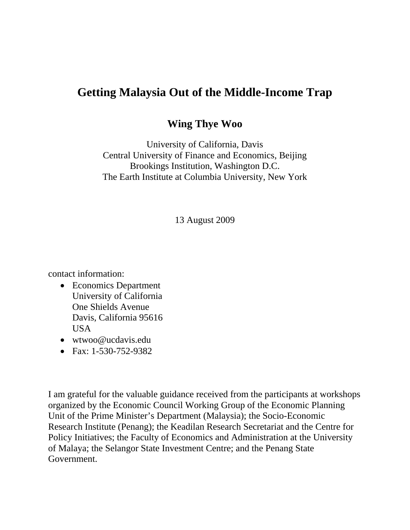# **Getting Malaysia Out of the Middle-Income Trap**

## **Wing Thye Woo**

University of California, Davis Central University of Finance and Economics, Beijing Brookings Institution, Washington D.C. The Earth Institute at Columbia University, New York

13 August 2009

contact information:

- Economics Department University of California One Shields Avenue Davis, California 95616 USA
- wtwoo@ucdavis.edu
- Fax: 1-530-752-9382

I am grateful for the valuable guidance received from the participants at workshops organized by the Economic Council Working Group of the Economic Planning Unit of the Prime Minister's Department (Malaysia); the Socio-Economic Research Institute (Penang); the Keadilan Research Secretariat and the Centre for Policy Initiatives; the Faculty of Economics and Administration at the University of Malaya; the Selangor State Investment Centre; and the Penang State Government.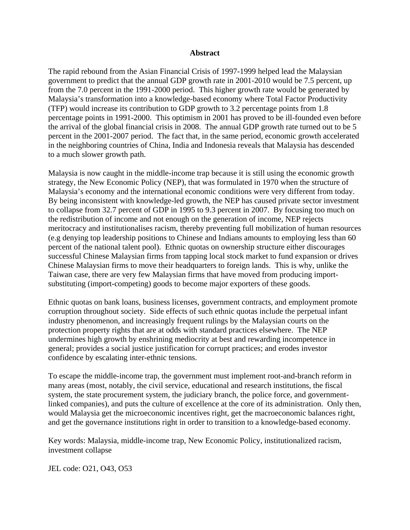#### **Abstract**

The rapid rebound from the Asian Financial Crisis of 1997-1999 helped lead the Malaysian government to predict that the annual GDP growth rate in 2001-2010 would be 7.5 percent, up from the 7.0 percent in the 1991-2000 period. This higher growth rate would be generated by Malaysia's transformation into a knowledge-based economy where Total Factor Productivity (TFP) would increase its contribution to GDP growth to 3.2 percentage points from 1.8 percentage points in 1991-2000. This optimism in 2001 has proved to be ill-founded even before the arrival of the global financial crisis in 2008. The annual GDP growth rate turned out to be 5 percent in the 2001-2007 period. The fact that, in the same period, economic growth accelerated in the neighboring countries of China, India and Indonesia reveals that Malaysia has descended to a much slower growth path.

Malaysia is now caught in the middle-income trap because it is still using the economic growth strategy, the New Economic Policy (NEP), that was formulated in 1970 when the structure of Malaysia's economy and the international economic conditions were very different from today. By being inconsistent with knowledge-led growth, the NEP has caused private sector investment to collapse from 32.7 percent of GDP in 1995 to 9.3 percent in 2007. By focusing too much on the redistribution of income and not enough on the generation of income, NEP rejects meritocracy and institutionalises racism, thereby preventing full mobilization of human resources (e.g denying top leadership positions to Chinese and Indians amounts to employing less than 60 percent of the national talent pool). Ethnic quotas on ownership structure either discourages successful Chinese Malaysian firms from tapping local stock market to fund expansion or drives Chinese Malaysian firms to move their headquarters to foreign lands. This is why, unlike the Taiwan case, there are very few Malaysian firms that have moved from producing importsubstituting (import-competing) goods to become major exporters of these goods.

Ethnic quotas on bank loans, business licenses, government contracts, and employment promote corruption throughout society. Side effects of such ethnic quotas include the perpetual infant industry phenomenon, and increasingly frequent rulings by the Malaysian courts on the protection property rights that are at odds with standard practices elsewhere. The NEP undermines high growth by enshrining mediocrity at best and rewarding incompetence in general; provides a social justice justification for corrupt practices; and erodes investor confidence by escalating inter-ethnic tensions.

To escape the middle-income trap, the government must implement root-and-branch reform in many areas (most, notably, the civil service, educational and research institutions, the fiscal system, the state procurement system, the judiciary branch, the police force, and governmentlinked companies), and puts the culture of excellence at the core of its administration. Only then, would Malaysia get the microeconomic incentives right, get the macroeconomic balances right, and get the governance institutions right in order to transition to a knowledge-based economy.

Key words: Malaysia, middle-income trap, New Economic Policy, institutionalized racism, investment collapse

JEL code: O21, O43, O53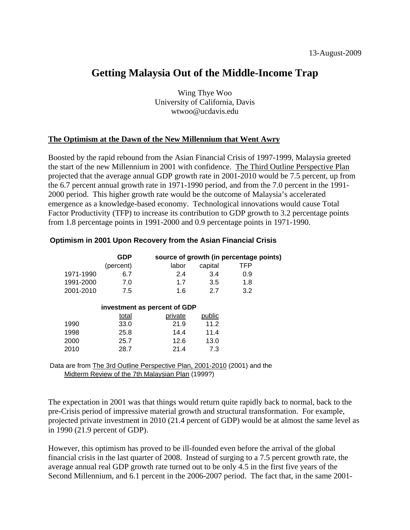## **Getting Malaysia Out of the Middle-Income Trap**

Wing Thye Woo University of California, Davis wtwoo@ucdavis.edu

### **The Optimism at the Dawn of the New Millennium that Went Awry**

Boosted by the rapid rebound from the Asian Financial Crisis of 1997-1999, Malaysia greeted the start of the new Millennium in 2001 with confidence. The Third Outline Perspective Plan projected that the average annual GDP growth rate in 2001-2010 would be 7.5 percent, up from the 6.7 percent annual growth rate in 1971-1990 period, and from the 7.0 percent in the 1991- 2000 period. This higher growth rate would be the outcome of Malaysia's accelerated emergence as a knowledge-based economy. Technological innovations would cause Total Factor Productivity (TFP) to increase its contribution to GDP growth to 3.2 percentage points from 1.8 percentage points in 1991-2000 and 0.9 percentage points in 1971-1990.

|                              |           | <b>GDP</b> | source of growth (in percentage points) |         |     |  |  |  |
|------------------------------|-----------|------------|-----------------------------------------|---------|-----|--|--|--|
|                              |           | (percent)  | labor                                   | capital | TFP |  |  |  |
|                              | 1971-1990 | 6.7        | 2.4                                     | 3.4     | 0.9 |  |  |  |
|                              | 1991-2000 | 7.0        | 1.7                                     | 3.5     | 1.8 |  |  |  |
|                              | 2001-2010 | 7.5        | 1.6                                     | 27      | 3.2 |  |  |  |
| investment as percent of GDP |           |            |                                         |         |     |  |  |  |
|                              |           | total      | private                                 | public  |     |  |  |  |

#### **Optimism in 2001 Upon Recovery from the Asian Financial Crisis**

|      | total | private | public |  |  |  |  |
|------|-------|---------|--------|--|--|--|--|
| 1990 | 33.0  | 21.9    | 11.2   |  |  |  |  |
| 1998 | 25.8  | 14.4    | 11.4   |  |  |  |  |
| 2000 | 25.7  | 12.6    | 13.0   |  |  |  |  |
| 2010 | 28.7  | 21.4    | 7.3    |  |  |  |  |

#### Data are from The 3rd Outline Perspective Plan, 2001-2010 (2001) and the Midterm Review of the 7th Malaysian Plan (1999?)

The expectation in 2001 was that things would return quite rapidly back to normal, back to the pre-Crisis period of impressive material growth and structural transformation. For example, projected private investment in 2010 (21.4 percent of GDP) would be at almost the same level as in 1990 (21.9 percent of GDP).

However, this optimism has proved to be ill-founded even before the arrival of the global financial crisis in the last quarter of 2008. Instead of surging to a 7.5 percent growth rate, the average annual real GDP growth rate turned out to be only 4.5 in the first five years of the Second Millennium, and 6.1 percent in the 2006-2007 period. The fact that, in the same 2001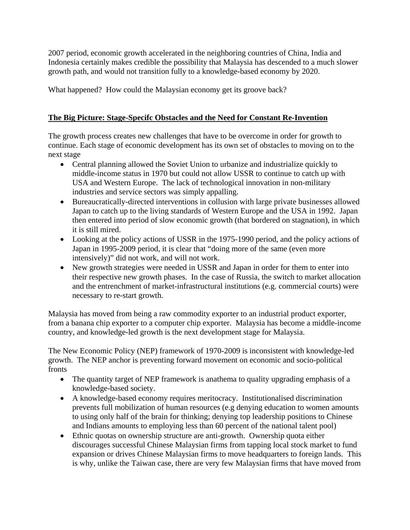2007 period, economic growth accelerated in the neighboring countries of China, India and Indonesia certainly makes credible the possibility that Malaysia has descended to a much slower growth path, and would not transition fully to a knowledge-based economy by 2020.

What happened? How could the Malaysian economy get its groove back?

## **The Big Picture: Stage-Specifc Obstacles and the Need for Constant Re-Invention**

The growth process creates new challenges that have to be overcome in order for growth to continue. Each stage of economic development has its own set of obstacles to moving on to the next stage

- Central planning allowed the Soviet Union to urbanize and industrialize quickly to middle-income status in 1970 but could not allow USSR to continue to catch up with USA and Western Europe. The lack of technological innovation in non-military industries and service sectors was simply appalling.
- Bureaucratically-directed interventions in collusion with large private businesses allowed Japan to catch up to the living standards of Western Europe and the USA in 1992. Japan then entered into period of slow economic growth (that bordered on stagnation), in which it is still mired.
- Looking at the policy actions of USSR in the 1975-1990 period, and the policy actions of Japan in 1995-2009 period, it is clear that "doing more of the same (even more intensively)" did not work, and will not work.
- New growth strategies were needed in USSR and Japan in order for them to enter into their respective new growth phases. In the case of Russia, the switch to market allocation and the entrenchment of market-infrastructural institutions (e.g. commercial courts) were necessary to re-start growth.

Malaysia has moved from being a raw commodity exporter to an industrial product exporter, from a banana chip exporter to a computer chip exporter. Malaysia has become a middle-income country, and knowledge-led growth is the next development stage for Malaysia.

The New Economic Policy (NEP) framework of 1970-2009 is inconsistent with knowledge-led growth. The NEP anchor is preventing forward movement on economic and socio-political fronts

- The quantity target of NEP framework is anathema to quality upgrading emphasis of a knowledge-based society.
- A knowledge-based economy requires meritocracy. Institutionalised discrimination prevents full mobilization of human resources (e.g denying education to women amounts to using only half of the brain for thinking; denying top leadership positions to Chinese and Indians amounts to employing less than 60 percent of the national talent pool)
- Ethnic quotas on ownership structure are anti-growth. Ownership quota either discourages successful Chinese Malaysian firms from tapping local stock market to fund expansion or drives Chinese Malaysian firms to move headquarters to foreign lands. This is why, unlike the Taiwan case, there are very few Malaysian firms that have moved from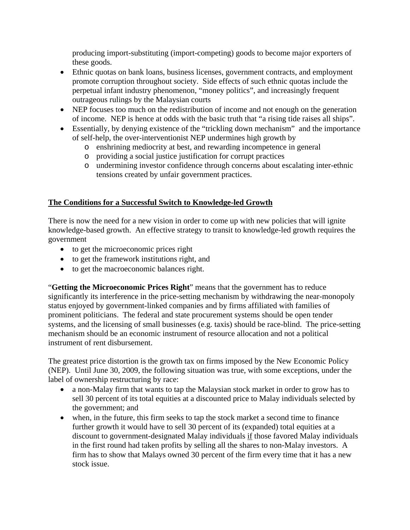producing import-substituting (import-competing) goods to become major exporters of these goods.

- Ethnic quotas on bank loans, business licenses, government contracts, and employment promote corruption throughout society. Side effects of such ethnic quotas include the perpetual infant industry phenomenon, "money politics", and increasingly frequent outrageous rulings by the Malaysian courts
- NEP focuses too much on the redistribution of income and not enough on the generation of income. NEP is hence at odds with the basic truth that "a rising tide raises all ships".
- Essentially, by denying existence of the "trickling down mechanism" and the importance of self-help, the over-interventionist NEP undermines high growth by
	- o enshrining mediocrity at best, and rewarding incompetence in general
	- o providing a social justice justification for corrupt practices
	- o undermining investor confidence through concerns about escalating inter-ethnic tensions created by unfair government practices.

## **The Conditions for a Successful Switch to Knowledge-led Growth**

There is now the need for a new vision in order to come up with new policies that will ignite knowledge-based growth. An effective strategy to transit to knowledge-led growth requires the government

- to get the microeconomic prices right
- to get the framework institutions right, and
- to get the macroeconomic balances right.

"**Getting the Microeconomic Prices Right**" means that the government has to reduce significantly its interference in the price-setting mechanism by withdrawing the near-monopoly status enjoyed by government-linked companies and by firms affiliated with families of prominent politicians. The federal and state procurement systems should be open tender systems, and the licensing of small businesses (e.g. taxis) should be race-blind. The price-setting mechanism should be an economic instrument of resource allocation and not a political instrument of rent disbursement.

The greatest price distortion is the growth tax on firms imposed by the New Economic Policy (NEP). Until June 30, 2009, the following situation was true, with some exceptions, under the label of ownership restructuring by race:

- a non-Malay firm that wants to tap the Malaysian stock market in order to grow has to sell 30 percent of its total equities at a discounted price to Malay individuals selected by the government; and
- when, in the future, this firm seeks to tap the stock market a second time to finance further growth it would have to sell 30 percent of its (expanded) total equities at a discount to government-designated Malay individuals if those favored Malay individuals in the first round had taken profits by selling all the shares to non-Malay investors. A firm has to show that Malays owned 30 percent of the firm every time that it has a new stock issue.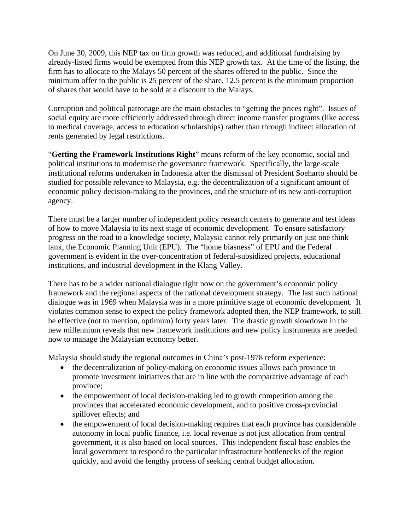On June 30, 2009, this NEP tax on firm growth was reduced, and additional fundraising by already-listed firms would be exempted from this NEP growth tax. At the time of the listing, the firm has to allocate to the Malays 50 percent of the shares offered to the public. Since the minimum offer to the public is 25 percent of the share, 12.5 percent is the minimum proportion of shares that would have to be sold at a discount to the Malays.

Corruption and political patronage are the main obstacles to "getting the prices right". Issues of social equity are more efficiently addressed through direct income transfer programs (like access to medical coverage, access to education scholarships) rather than through indirect allocation of rents generated by legal restrictions.

"**Getting the Framework Institutions Right**" means reform of the key economic, social and political institutions to modernise the governance framework. Specifically, the large-scale institutional reforms undertaken in Indonesia after the dismissal of President Soeharto should be studied for possible relevance to Malaysia, e.g. the decentralization of a significant amount of economic policy decision-making to the provinces, and the structure of its new anti-corruption agency.

There must be a larger number of independent policy research centers to generate and test ideas of how to move Malaysia to its next stage of economic development. To ensure satisfactory progress on the road to a knowledge society, Malaysia cannot rely primarily on just one think tank, the Economic Planning Unit (EPU). The "home biasness" of EPU and the Federal government is evident in the over-concentration of federal-subsidized projects, educational institutions, and industrial development in the Klang Valley.

There has to be a wider national dialogue right now on the government's economic policy framework and the regional aspects of the national development strategy. The last such national dialogue was in 1969 when Malaysia was in a more primitive stage of economic development. It violates common sense to expect the policy framework adopted then, the NEP framework, to still be effective (not to mention, optimum) forty years later. The drastic growth slowdown in the new millennium reveals that new framework institutions and new policy instruments are needed now to manage the Malaysian economy better.

Malaysia should study the regional outcomes in China's post-1978 reform experience:

- the decentralization of policy-making on economic issues allows each province to promote investment initiatives that are in line with the comparative advantage of each province;
- the empowerment of local decision-making led to growth competition among the provinces that accelerated economic development, and to positive cross-provincial spillover effects; and
- the empowerment of local decision-making requires that each province has considerable autonomy in local public finance, i.e. local revenue is not just allocation from central government, it is also based on local sources. This independent fiscal base enables the local government to respond to the particular infrastructure bottlenecks of the region quickly, and avoid the lengthy process of seeking central budget allocation.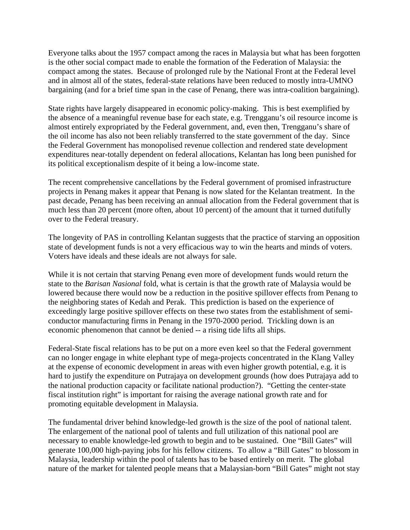Everyone talks about the 1957 compact among the races in Malaysia but what has been forgotten is the other social compact made to enable the formation of the Federation of Malaysia: the compact among the states. Because of prolonged rule by the National Front at the Federal level and in almost all of the states, federal-state relations have been reduced to mostly intra-UMNO bargaining (and for a brief time span in the case of Penang, there was intra-coalition bargaining).

State rights have largely disappeared in economic policy-making. This is best exemplified by the absence of a meaningful revenue base for each state, e.g. Trengganu's oil resource income is almost entirely expropriated by the Federal government, and, even then, Trengganu's share of the oil income has also not been reliably transferred to the state government of the day. Since the Federal Government has monopolised revenue collection and rendered state development expenditures near-totally dependent on federal allocations, Kelantan has long been punished for its political exceptionalism despite of it being a low-income state.

The recent comprehensive cancellations by the Federal government of promised infrastructure projects in Penang makes it appear that Penang is now slated for the Kelantan treatment. In the past decade, Penang has been receiving an annual allocation from the Federal government that is much less than 20 percent (more often, about 10 percent) of the amount that it turned dutifully over to the Federal treasury.

The longevity of PAS in controlling Kelantan suggests that the practice of starving an opposition state of development funds is not a very efficacious way to win the hearts and minds of voters. Voters have ideals and these ideals are not always for sale.

While it is not certain that starving Penang even more of development funds would return the state to the *Barisan Nasional* fold, what is certain is that the growth rate of Malaysia would be lowered because there would now be a reduction in the positive spillover effects from Penang to the neighboring states of Kedah and Perak. This prediction is based on the experience of exceedingly large positive spillover effects on these two states from the establishment of semiconductor manufacturing firms in Penang in the 1970-2000 period. Trickling down is an economic phenomenon that cannot be denied -- a rising tide lifts all ships.

Federal-State fiscal relations has to be put on a more even keel so that the Federal government can no longer engage in white elephant type of mega-projects concentrated in the Klang Valley at the expense of economic development in areas with even higher growth potential, e.g. it is hard to justify the expenditure on Putrajaya on development grounds (how does Putrajaya add to the national production capacity or facilitate national production?). "Getting the center-state fiscal institution right" is important for raising the average national growth rate and for promoting equitable development in Malaysia.

The fundamental driver behind knowledge-led growth is the size of the pool of national talent. The enlargement of the national pool of talents and full utilization of this national pool are necessary to enable knowledge-led growth to begin and to be sustained. One "Bill Gates" will generate 100,000 high-paying jobs for his fellow citizens. To allow a "Bill Gates" to blossom in Malaysia, leadership within the pool of talents has to be based entirely on merit. The global nature of the market for talented people means that a Malaysian-born "Bill Gates" might not stay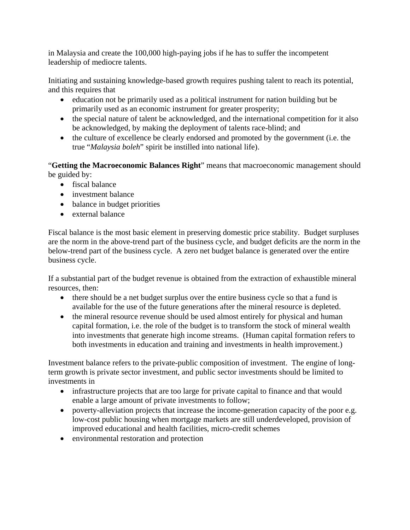in Malaysia and create the 100,000 high-paying jobs if he has to suffer the incompetent leadership of mediocre talents.

Initiating and sustaining knowledge-based growth requires pushing talent to reach its potential, and this requires that

- education not be primarily used as a political instrument for nation building but be primarily used as an economic instrument for greater prosperity;
- the special nature of talent be acknowledged, and the international competition for it also be acknowledged, by making the deployment of talents race-blind; and
- the culture of excellence be clearly endorsed and promoted by the government (i.e. the true "*Malaysia boleh*" spirit be instilled into national life).

"**Getting the Macroeconomic Balances Right**" means that macroeconomic management should be guided by:

- fiscal balance
- investment balance
- balance in budget priorities
- external balance

Fiscal balance is the most basic element in preserving domestic price stability. Budget surpluses are the norm in the above-trend part of the business cycle, and budget deficits are the norm in the below-trend part of the business cycle. A zero net budget balance is generated over the entire business cycle.

If a substantial part of the budget revenue is obtained from the extraction of exhaustible mineral resources, then:

- there should be a net budget surplus over the entire business cycle so that a fund is available for the use of the future generations after the mineral resource is depleted.
- the mineral resource revenue should be used almost entirely for physical and human capital formation, i.e. the role of the budget is to transform the stock of mineral wealth into investments that generate high income streams. (Human capital formation refers to both investments in education and training and investments in health improvement.)

Investment balance refers to the private-public composition of investment. The engine of longterm growth is private sector investment, and public sector investments should be limited to investments in

- infrastructure projects that are too large for private capital to finance and that would enable a large amount of private investments to follow;
- poverty-alleviation projects that increase the income-generation capacity of the poor e.g. low-cost public housing when mortgage markets are still underdeveloped, provision of improved educational and health facilities, micro-credit schemes
- environmental restoration and protection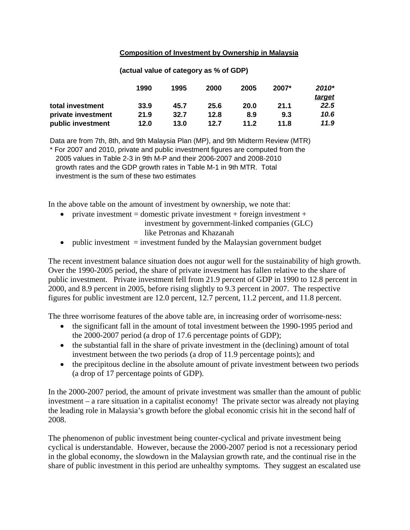#### **Composition of Investment by Ownership in Malaysia**

|                    | 1990 | 1995 | 2000 | 2005 | $2007*$ | $2010*$       |
|--------------------|------|------|------|------|---------|---------------|
|                    |      |      |      |      |         | <u>target</u> |
| total investment   | 33.9 | 45.7 | 25.6 | 20.0 | 21.1    | 22.5          |
| private investment | 21.9 | 32.7 | 12.8 | 8.9  | 9.3     | 10.6          |
| public investment  | 12.0 | 13.0 | 12.7 | 11.2 | 11.8    | 11.9          |

#### **(actual value of category as % of GDP)**

Data are from 7th, 8th, and 9th Malaysia Plan (MP), and 9th Midterm Review (MTR) \* For 2007 and 2010, private and public investment figures are computed from the 2005 values in Table 2-3 in 9th M-P and their 2006-2007 and 2008-2010 growth rates and the GDP growth rates in Table M-1 in 9th MTR. Total investment is the sum of these two estimates

In the above table on the amount of investment by ownership, we note that:

- private investment = domestic private investment + foreign investment + investment by government-linked companies (GLC) like Petronas and Khazanah
- public investment  $=$  investment funded by the Malaysian government budget

The recent investment balance situation does not augur well for the sustainability of high growth. Over the 1990-2005 period, the share of private investment has fallen relative to the share of public investment. Private investment fell from 21.9 percent of GDP in 1990 to 12.8 percent in 2000, and 8.9 percent in 2005, before rising slightly to 9.3 percent in 2007. The respective figures for public investment are 12.0 percent, 12.7 percent, 11.2 percent, and 11.8 percent.

The three worrisome features of the above table are, in increasing order of worrisome-ness:

- the significant fall in the amount of total investment between the 1990-1995 period and the 2000-2007 period (a drop of 17.6 percentage points of GDP);
- the substantial fall in the share of private investment in the (declining) amount of total investment between the two periods (a drop of 11.9 percentage points); and
- the precipitous decline in the absolute amount of private investment between two periods (a drop of 17 percentage points of GDP).

In the 2000-2007 period, the amount of private investment was smaller than the amount of public investment – a rare situation in a capitalist economy! The private sector was already not playing the leading role in Malaysia's growth before the global economic crisis hit in the second half of 2008.

The phenomenon of public investment being counter-cyclical and private investment being cyclical is understandable. However, because the 2000-2007 period is not a recessionary period in the global economy, the slowdown in the Malaysian growth rate, and the continual rise in the share of public investment in this period are unhealthy symptoms. They suggest an escalated use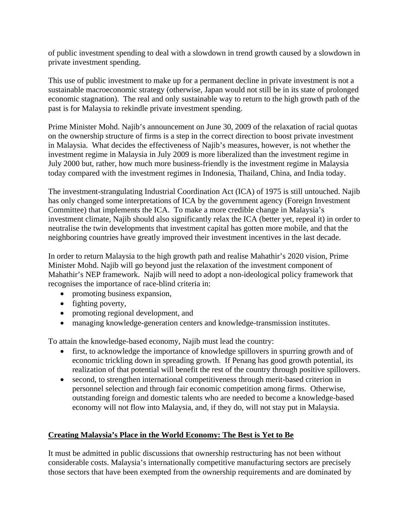of public investment spending to deal with a slowdown in trend growth caused by a slowdown in private investment spending.

This use of public investment to make up for a permanent decline in private investment is not a sustainable macroeconomic strategy (otherwise, Japan would not still be in its state of prolonged economic stagnation). The real and only sustainable way to return to the high growth path of the past is for Malaysia to rekindle private investment spending.

Prime Minister Mohd. Najib's announcement on June 30, 2009 of the relaxation of racial quotas on the ownership structure of firms is a step in the correct direction to boost private investment in Malaysia. What decides the effectiveness of Najib's measures, however, is not whether the investment regime in Malaysia in July 2009 is more liberalized than the investment regime in July 2000 but, rather, how much more business-friendly is the investment regime in Malaysia today compared with the investment regimes in Indonesia, Thailand, China, and India today.

The investment-strangulating Industrial Coordination Act (ICA) of 1975 is still untouched. Najib has only changed some interpretations of ICA by the government agency (Foreign Investment Committee) that implements the ICA. To make a more credible change in Malaysia's investment climate, Najib should also significantly relax the ICA (better yet, repeal it) in order to neutralise the twin developments that investment capital has gotten more mobile, and that the neighboring countries have greatly improved their investment incentives in the last decade.

In order to return Malaysia to the high growth path and realise Mahathir's 2020 vision, Prime Minister Mohd. Najib will go beyond just the relaxation of the investment component of Mahathir's NEP framework. Najib will need to adopt a non-ideological policy framework that recognises the importance of race-blind criteria in:

- promoting business expansion,
- fighting poverty,
- promoting regional development, and
- managing knowledge-generation centers and knowledge-transmission institutes.

To attain the knowledge-based economy, Najib must lead the country:

- first, to acknowledge the importance of knowledge spillovers in spurring growth and of economic trickling down in spreading growth. If Penang has good growth potential, its realization of that potential will benefit the rest of the country through positive spillovers.
- second, to strengthen international competitiveness through merit-based criterion in personnel selection and through fair economic competition among firms. Otherwise, outstanding foreign and domestic talents who are needed to become a knowledge-based economy will not flow into Malaysia, and, if they do, will not stay put in Malaysia.

## **Creating Malaysia's Place in the World Economy: The Best is Yet to Be**

It must be admitted in public discussions that ownership restructuring has not been without considerable costs. Malaysia's internationally competitive manufacturing sectors are precisely those sectors that have been exempted from the ownership requirements and are dominated by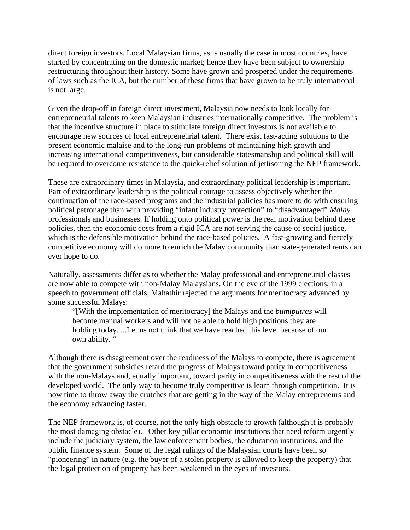direct foreign investors. Local Malaysian firms, as is usually the case in most countries, have started by concentrating on the domestic market; hence they have been subject to ownership restructuring throughout their history. Some have grown and prospered under the requirements of laws such as the ICA, but the number of these firms that have grown to be truly international is not large.

Given the drop-off in foreign direct investment, Malaysia now needs to look locally for entrepreneurial talents to keep Malaysian industries internationally competitive. The problem is that the incentive structure in place to stimulate foreign direct investors is not available to encourage new sources of local entrepreneurial talent. There exist fast-acting solutions to the present economic malaise and to the long-run problems of maintaining high growth and increasing international competitiveness, but considerable statesmanship and political skill will be required to overcome resistance to the quick-relief solution of jettisoning the NEP framework.

These are extraordinary times in Malaysia, and extraordinary political leadership is important. Part of extraordinary leadership is the political courage to assess objectively whether the continuation of the race-based programs and the industrial policies has more to do with ensuring political patronage than with providing "infant industry protection" to "disadvantaged" *Malay* professionals and businesses. If holding onto political power is the real motivation behind these policies, then the economic costs from a rigid ICA are not serving the cause of social justice, which is the defensible motivation behind the race-based policies. A fast-growing and fiercely competitive economy will do more to enrich the Malay community than state-generated rents can ever hope to do.

Naturally, assessments differ as to whether the Malay professional and entrepreneurial classes are now able to compete with non-Malay Malaysians. On the eve of the 1999 elections, in a speech to government officials, Mahathir rejected the arguments for meritocracy advanced by some successful Malays:

"[With the implementation of meritocracy] the Malays and the *bumiputras* will become manual workers and will not be able to hold high positions they are holding today. ...Let us not think that we have reached this level because of our own ability. "

Although there is disagreement over the readiness of the Malays to compete, there is agreement that the government subsidies retard the progress of Malays toward parity in competitiveness with the non-Malays and, equally important, toward parity in competitiveness with the rest of the developed world. The only way to become truly competitive is learn through competition. It is now time to throw away the crutches that are getting in the way of the Malay entrepreneurs and the economy advancing faster.

The NEP framework is, of course, not the only high obstacle to growth (although it is probably the most damaging obstacle). Other key pillar economic institutions that need reform urgently include the judiciary system, the law enforcement bodies, the education institutions, and the public finance system. Some of the legal rulings of the Malaysian courts have been so "pioneering" in nature (e.g. the buyer of a stolen property is allowed to keep the property) that the legal protection of property has been weakened in the eyes of investors.